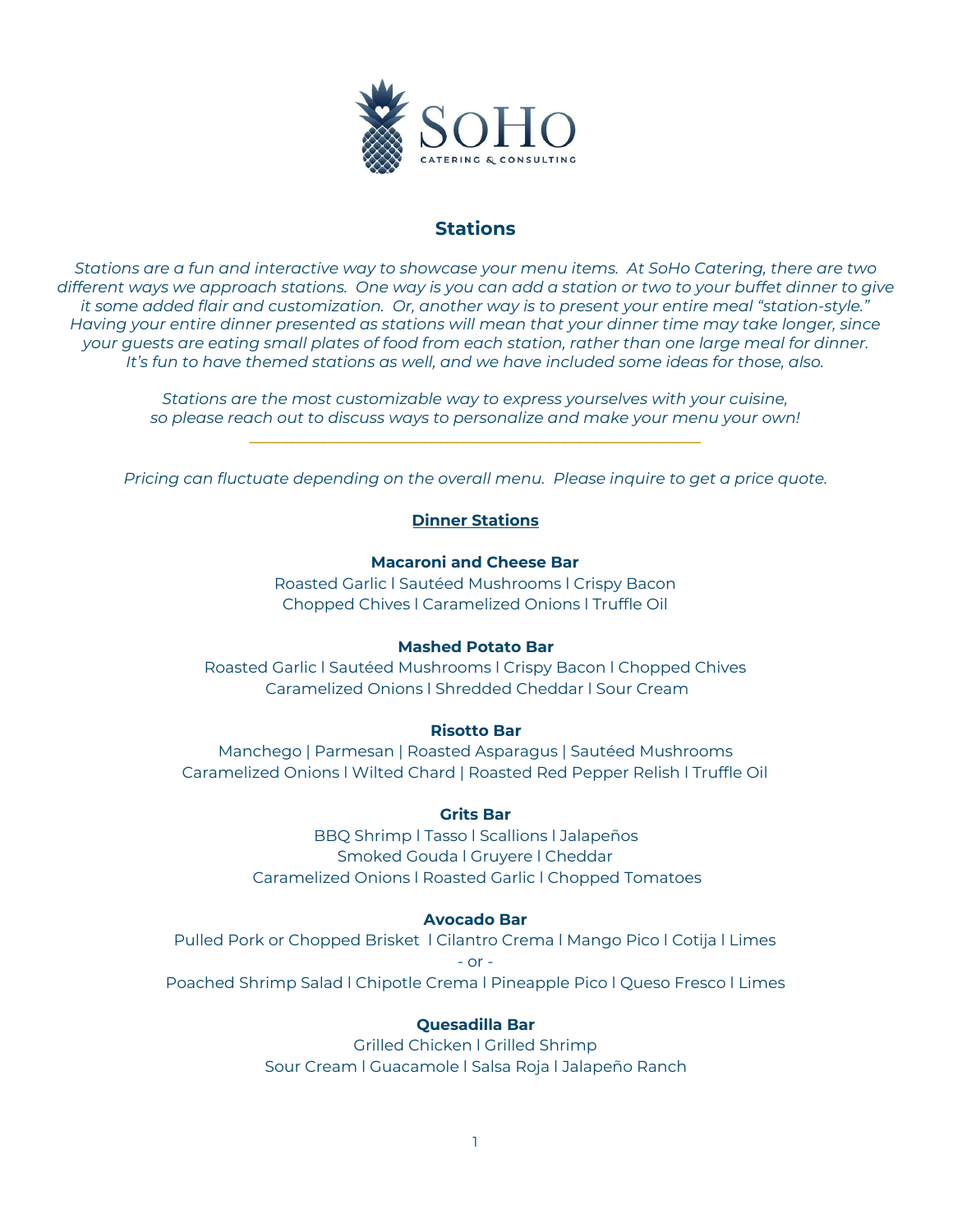

# **Stations**

Stations are a fun and interactive way to showcase your menu items. At SoHo Catering, there are two different ways we approach stations. One way is you can add a station or two to your buffet dinner to give *it some added flair and customization. Or, another way is to present your entire meal "station-style." Having your entire dinner presented as stations will mean that your dinner time may take longer, since* your quests are eating small plates of food from each station, rather than one large meal for dinner. *It's fun to have themed stations as well, and we have included some ideas for those, also.*

> *Stations are the most customizable way to express yourselves with your cuisine, so please reach out to discuss ways to personalize and make your menu your own!* **\_\_\_\_\_\_\_\_\_\_\_\_\_\_\_\_\_\_\_\_\_\_\_\_\_\_\_\_\_\_\_\_\_\_\_\_\_\_\_\_\_\_\_\_\_\_\_\_\_\_\_\_\_\_\_\_\_\_**

*Pricing can fluctuate depending on the overall menu. Please inquire to get a price quote.*

# **Dinner Stations**

# **Macaroni and Cheese Bar**

Roasted Garlic l Sautéed Mushrooms l Crispy Bacon Chopped Chives l Caramelized Onions l Truffle Oil

## **Mashed Potato Bar**

Roasted Garlic l Sautéed Mushrooms l Crispy Bacon l Chopped Chives Caramelized Onions l Shredded Cheddar l Sour Cream

# **Risotto Bar**

Manchego | Parmesan | Roasted Asparagus | Sautéed Mushrooms Caramelized Onions l Wilted Chard | Roasted Red Pepper Relish l Truffle Oil

# **Grits Bar**

BBQ Shrimp l Tasso l Scallions l Jalapeños Smoked Gouda l Gruyere l Cheddar Caramelized Onions l Roasted Garlic l Chopped Tomatoes

## **Avocado Bar**

Pulled Pork or Chopped Brisket l Cilantro Crema l Mango Pico l Cotija l Limes  $-$  or  $-$ Poached Shrimp Salad l Chipotle Crema l Pineapple Pico l Queso Fresco l Limes

# **Quesadilla Bar**

Grilled Chicken l Grilled Shrimp Sour Cream l Guacamole l Salsa Roja l Jalapeño Ranch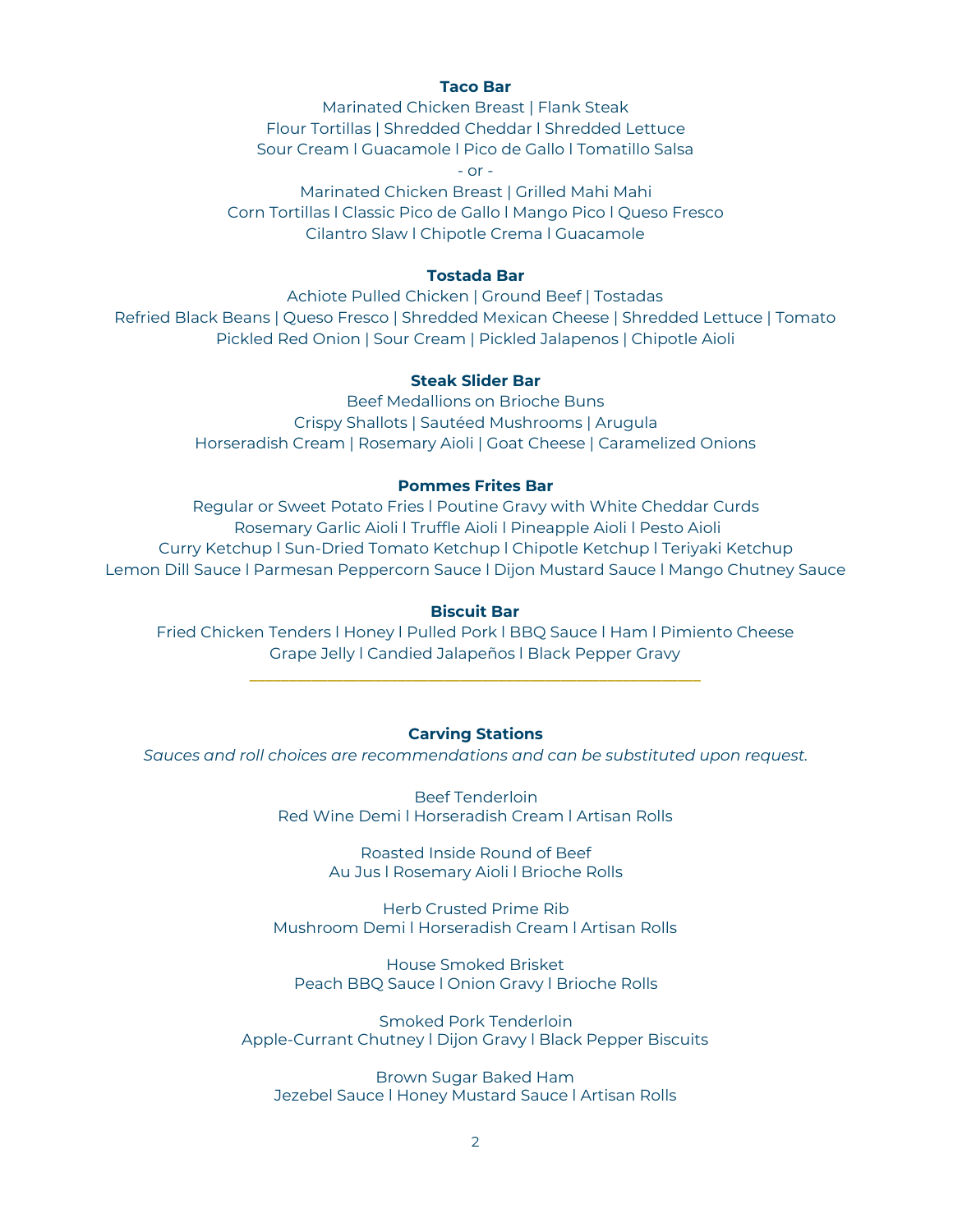### **Taco Bar**

Marinated Chicken Breast | Flank Steak Flour Tortillas | Shredded Cheddar l Shredded Lettuce Sour Cream l Guacamole l Pico de Gallo l Tomatillo Salsa

 $-$  or  $-$ 

Marinated Chicken Breast | Grilled Mahi Mahi Corn Tortillas l Classic Pico de Gallo l Mango Pico l Queso Fresco Cilantro Slaw l Chipotle Crema l Guacamole

### **Tostada Bar**

Achiote Pulled Chicken | Ground Beef | Tostadas Refried Black Beans | Queso Fresco | Shredded Mexican Cheese | Shredded Lettuce | Tomato Pickled Red Onion | Sour Cream | Pickled Jalapenos | Chipotle Aioli

# **Steak Slider Bar**

Beef Medallions on Brioche Buns Crispy Shallots | Sautéed Mushrooms | Arugula Horseradish Cream | Rosemary Aioli | Goat Cheese | Caramelized Onions

#### **Pommes Frites Bar**

Regular or Sweet Potato Fries l Poutine Gravy with White Cheddar Curds Rosemary Garlic Aioli l Truffle Aioli l Pineapple Aioli l Pesto Aioli Curry Ketchup l Sun-Dried Tomato Ketchup l Chipotle Ketchup l Teriyaki Ketchup Lemon Dill Sauce l Parmesan Peppercorn Sauce l Dijon Mustard Sauce l Mango Chutney Sauce

#### **Biscuit Bar**

Fried Chicken Tenders l Honey l Pulled Pork l BBQ Sauce l Ham l Pimiento Cheese Grape Jelly l Candied Jalapeños l Black Pepper Gravy

**\_\_\_\_\_\_\_\_\_\_\_\_\_\_\_\_\_\_\_\_\_\_\_\_\_\_\_\_\_\_\_\_\_\_\_\_\_\_\_\_\_\_\_\_\_\_\_\_\_\_\_\_\_\_\_\_\_\_**

# **Carving Stations**

*Sauces and roll choices are recommendations and can be substituted upon request.*

Beef Tenderloin Red Wine Demi l Horseradish Cream l Artisan Rolls

> Roasted Inside Round of Beef Au Jus l Rosemary Aioli l Brioche Rolls

Herb Crusted Prime Rib Mushroom Demi l Horseradish Cream l Artisan Rolls

House Smoked Brisket Peach BBQ Sauce l Onion Gravy l Brioche Rolls

Smoked Pork Tenderloin Apple-Currant Chutney l Dijon Gravy l Black Pepper Biscuits

Brown Sugar Baked Ham Jezebel Sauce l Honey Mustard Sauce l Artisan Rolls